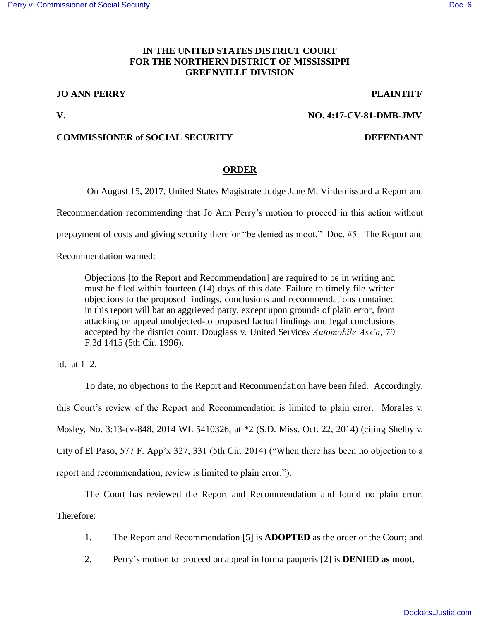## **IN THE UNITED STATES DISTRICT COURT FOR THE NORTHERN DISTRICT OF MISSISSIPPI GREENVILLE DIVISION**

# **JO ANN PERRY PLAINTIFF**

## **V. NO. 4:17-CV-81-DMB-JMV**

## **COMMISSIONER of SOCIAL SECURITY DEFENDANT**

## **ORDER**

On August 15, 2017, United States Magistrate Judge Jane M. Virden issued a Report and

Recommendation recommending that Jo Ann Perry's motion to proceed in this action without

prepayment of costs and giving security therefor "be denied as moot." Doc. #5. The Report and

Recommendation warned:

Objections [to the Report and Recommendation] are required to be in writing and must be filed within fourteen (14) days of this date. Failure to timely file written objections to the proposed findings, conclusions and recommendations contained in this report will bar an aggrieved party, except upon grounds of plain error, from attacking on appeal unobjected-to proposed factual findings and legal conclusions accepted by the district court. Douglass v. United Service*s Automobile Ass'n*, 79 F.3d 1415 (5th Cir. 1996).

Id. at  $1-2$ .

 To date, no objections to the Report and Recommendation have been filed. Accordingly, this Court's review of the Report and Recommendation is limited to plain error. Morales v. Mosley, No. 3:13-cv-848, 2014 WL 5410326, at \*2 (S.D. Miss. Oct. 22, 2014) (citing Shelby v. City of El Paso, 577 F. App'x 327, 331 (5th Cir. 2014) ("When there has been no objection to a report and recommendation, review is limited to plain error.").

 The Court has reviewed the Report and Recommendation and found no plain error. Therefore:

- 1. The Report and Recommendation [5] is **ADOPTED** as the order of the Court; and
- 2. Perry's motion to proceed on appeal in forma pauperis [2] is **DENIED as moot**.